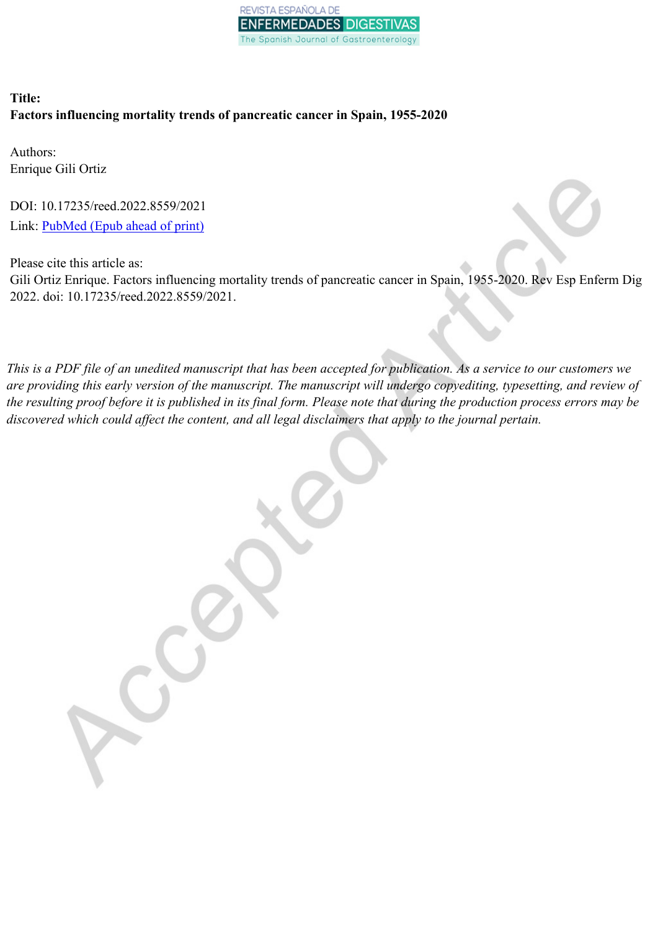

# **Title: Factors influencing mortality trends of pancreatic cancer in Spain, 1955-2020**

Authors: Enrique Gili Ortiz

DOI: 10.17235/reed.2022.8559/2021 Link: [PubMed](https://www.ncbi.nlm.nih.gov/pubmed/?term=10.17235/reed.2022.8559/2021) (Epub ahead of print)

Please cite this article as:

Gili Ortiz Enrique. Factors influencing mortality trends of pancreatic cancer in Spain, 1955-2020. Rev Esp Enferm Dig 2022. doi: 10.17235/reed.2022.8559/2021.

This is a PDF file of an unedited manuscript that has been accepted for publication. As a service to our customers we are providing this early version of the manuscript. The manuscript will undergo copyediting, typesetting, and review of the resulting proof before it is published in its final form. Please note that during the production process errors may be *discovered which could affect the content, and all legal disclaimers that apply to the journal pertain.*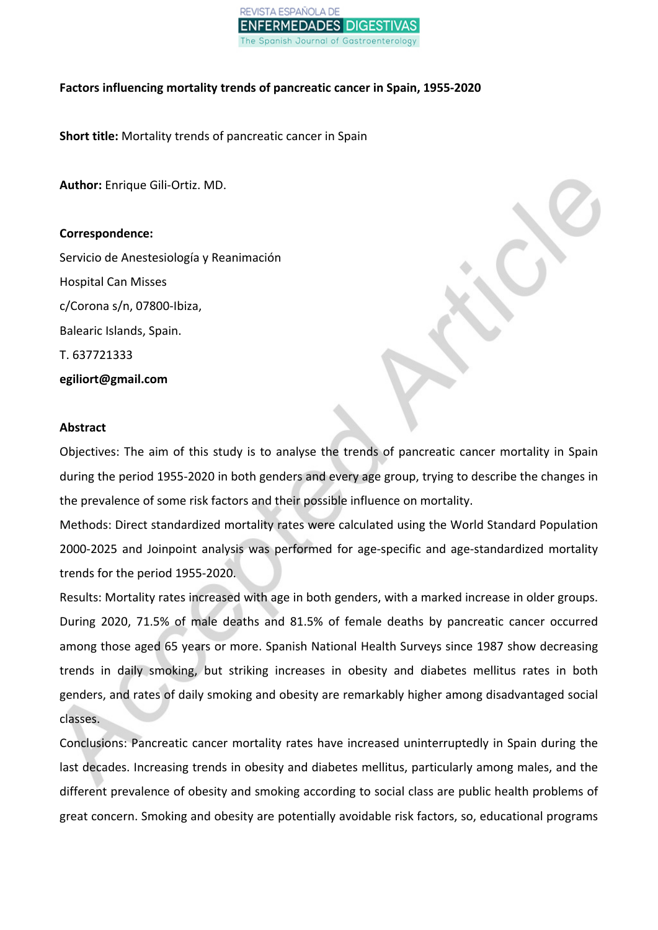

## **Factors influencing mortality trends of pancreatic cancer in Spain, 1955-2020**

**Short title:** Mortality trends of pancreatic cancer in Spain

**Author:** Enrique Gili-Ortiz. MD.

## **Correspondence:**

Servicio de Anestesiología y Reanimación Hospital Can Misses c/Corona s/n, 07800-Ibiza, Balearic Islands, Spain. T. 637721333 **egiliort@gmail.com**

## **Abstract**

Objectives: The aim of this study is to analyse the trends of pancreatic cancer mortality in Spain during the period 1955-2020 in both genders and every age group, trying to describe the changes in the prevalence of some risk factors and their possible influence on mortality.

Methods: Direct standardized mortality rates were calculated using the World Standard Population 2000-2025 and Joinpoint analysis was performed for age-specific and age-standardized mortality trends for the period 1955-2020.

Results: Mortality rates increased with age in both genders, with a marked increase in older groups. During 2020, 71.5% of male deaths and 81.5% of female deaths by pancreatic cancer occurred among those aged 65 years or more. Spanish National Health Surveys since 1987 show decreasing trends in daily smoking, but striking increases in obesity and diabetes mellitus rates in both genders, and rates of daily smoking and obesity are remarkably higher among disadvantaged social classes.

Conclusions: Pancreatic cancer mortality rates have increased uninterruptedly in Spain during the last decades. Increasing trends in obesity and diabetes mellitus, particularly among males, and the different prevalence of obesity and smoking according to social class are public health problems of great concern. Smoking and obesity are potentially avoidable risk factors, so, educational programs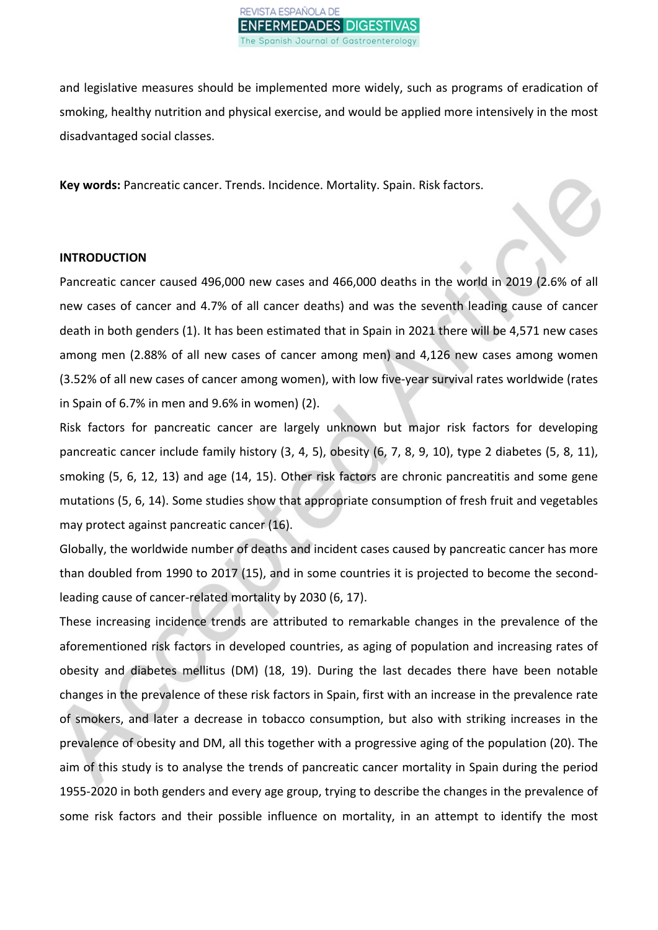

and legislative measures should be implemented more widely, such as programs of eradication of smoking, healthy nutrition and physical exercise, and would be applied more intensively in the most disadvantaged social classes.

**Key words:** Pancreatic cancer. Trends. Incidence. Mortality. Spain. Risk factors.

#### **INTRODUCTION**

Pancreatic cancer caused 496,000 new cases and 466,000 deaths in the world in 2019 (2.6% of all new cases of cancer and 4.7% of all cancer deaths) and was the seventh leading cause of cancer death in both genders (1). It has been estimated that in Spain in 2021 there will be 4,571 new cases among men (2.88% of all new cases of cancer among men) and 4,126 new cases among women (3.52% of all new cases of cancer among women), with low five-year survival rates worldwide (rates in Spain of 6.7% in men and 9.6% in women) (2).

Risk factors for pancreatic cancer are largely unknown but major risk factors for developing pancreatic cancer include family history (3, 4, 5), obesity (6, 7, 8, 9, 10), type 2 diabetes (5, 8, 11), smoking (5, 6, 12, 13) and age (14, 15). Other risk factors are chronic pancreatitis and some gene mutations (5, 6, 14). Some studies show that appropriate consumption of fresh fruit and vegetables may protect against pancreatic cancer (16).

Globally, the worldwide number of deaths and incident cases caused by pancreatic cancer has more than doubled from 1990 to 2017 (15), and in some countries it is projected to become the secondleading cause of cancer-related mortality by 2030 (6, 17).

These increasing incidence trends are attributed to remarkable changes in the prevalence of the aforementioned risk factors in developed countries, as aging of population and increasing rates of obesity and diabetes mellitus (DM) (18, 19). During the last decades there have been notable changes in the prevalence of these risk factors in Spain, first with an increase in the prevalence rate of smokers, and later a decrease in tobacco consumption, but also with striking increases in the prevalence of obesity and DM, all this together with a progressive aging of the population (20). The aim of this study is to analyse the trends of pancreatic cancer mortality in Spain during the period 1955-2020 in both genders and every age group, trying to describe the changes in the prevalence of some risk factors and their possible influence on mortality, in an attempt to identify the most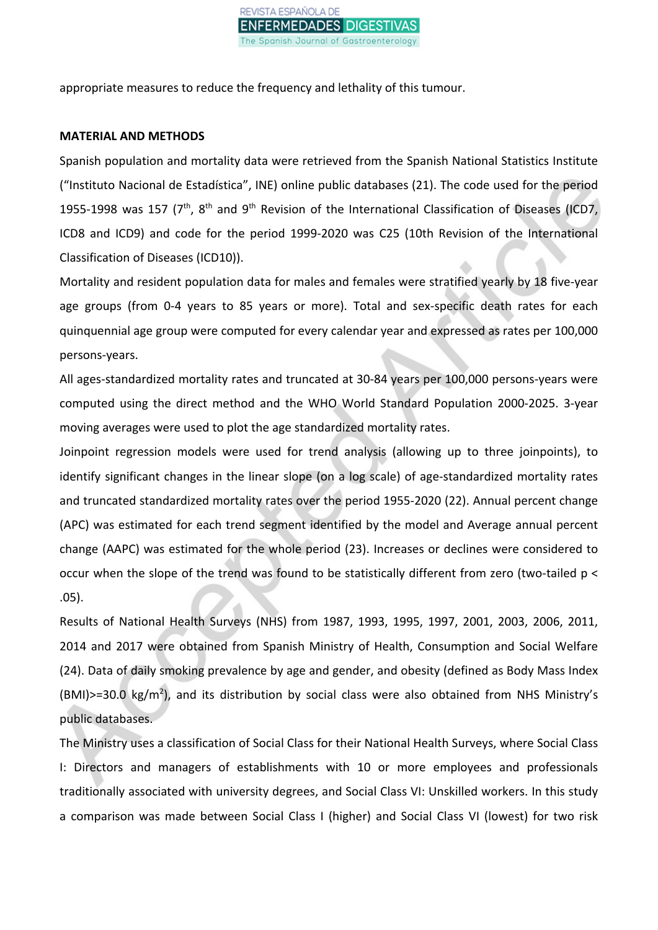

appropriate measures to reduce the frequency and lethality of this tumour.

#### **MATERIAL AND METHODS**

Spanish population and mortality data were retrieved from the Spanish National Statistics Institute ("Instituto Nacional de Estadística", INE) online public databases (21). The code used for the period 1955-1998 was 157 ( $7<sup>th</sup>$ ,  $8<sup>th</sup>$  and  $9<sup>th</sup>$  Revision of the International Classification of Diseases (ICD7, ICD8 and ICD9) and code for the period 1999-2020 was C25 (10th Revision of the International Classification of Diseases (ICD10)).

Mortality and resident population data for males and females were stratified yearly by 18 five-year age groups (from 0-4 years to 85 years or more). Total and sex-specific death rates for each quinquennial age group were computed for every calendar year and expressed as rates per 100,000 persons-years.

All ages-standardized mortality rates and truncated at 30-84 years per 100,000 persons-years were computed using the direct method and the WHO World Standard Population 2000-2025. 3-year moving averages were used to plot the age standardized mortality rates.

Joinpoint regression models were used for trend analysis (allowing up to three joinpoints), to identify significant changes in the linear slope (on a log scale) of age-standardized mortality rates and truncated standardized mortality rates over the period 1955-2020 (22). Annual percent change (APC) was estimated for each trend segment identified by the model and Average annual percent change (AAPC) was estimated for the whole period (23). Increases or declines were considered to occur when the slope of the trend was found to be statistically different from zero (two-tailed p < .05).

Results of National Health Surveys (NHS) from 1987, 1993, 1995, 1997, 2001, 2003, 2006, 2011, 2014 and 2017 were obtained from Spanish Ministry of Health, Consumption and Social Welfare (24). Data of daily smoking prevalence by age and gender, and obesity (defined as Body Mass Index (BMI)>=30.0 kg/m<sup>2</sup>), and its distribution by social class were also obtained from NHS Ministry's public databases.

The Ministry uses a classification of Social Class for their National Health Surveys, where Social Class I: Directors and managers of establishments with 10 or more employees and professionals traditionally associated with university degrees, and Social Class VI: Unskilled workers. In this study a comparison was made between Social Class I (higher) and Social Class VI (lowest) for two risk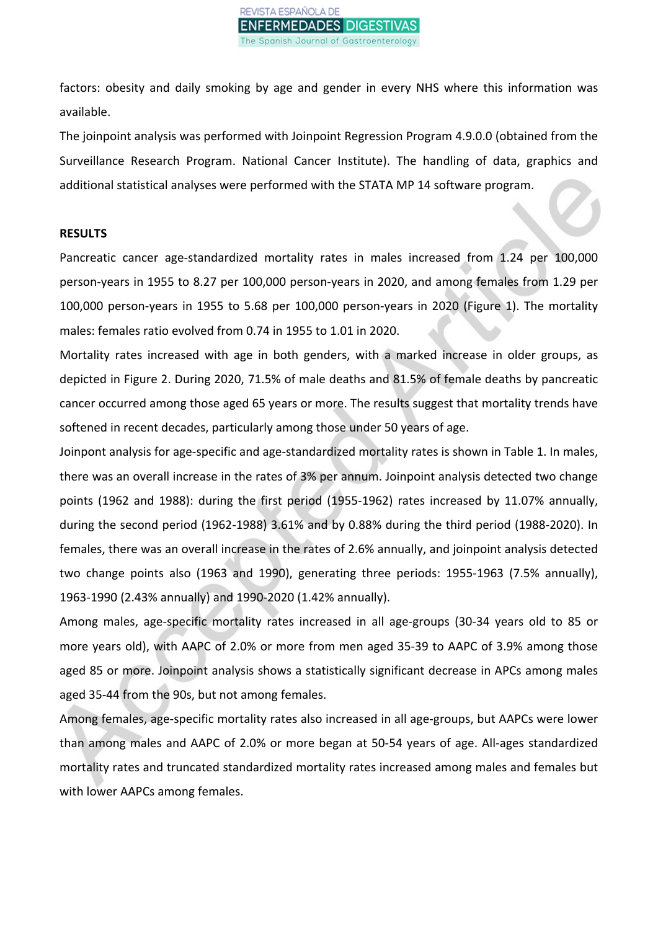factors: obesity and daily smoking by age and gender in every NHS where this information was available.

The joinpoint analysis was performed with Joinpoint Regression Program 4.9.0.0 (obtained from the Surveillance Research Program. National Cancer Institute). The handling of data, graphics and additional statistical analyses were performed with the STATA MP 14 software program.

#### **RESULTS**

Pancreatic cancer age-standardized mortality rates in males increased from 1.24 per 100,000 person-years in 1955 to 8.27 per 100,000 person-years in 2020, and among females from 1.29 per 100,000 person-years in 1955 to 5.68 per 100,000 person-years in 2020 (Figure 1). The mortality males: females ratio evolved from 0.74 in 1955 to 1.01 in 2020.

Mortality rates increased with age in both genders, with a marked increase in older groups, as depicted in Figure 2. During 2020, 71.5% of male deaths and 81.5% of female deaths by pancreatic cancer occurred among those aged 65 years or more. The results suggest that mortality trends have softened in recent decades, particularly among those under 50 years of age.

Joinpont analysis for age-specific and age-standardized mortality rates is shown in Table 1. In males, there was an overall increase in the rates of 3% per annum. Joinpoint analysis detected two change points (1962 and 1988): during the first period (1955-1962) rates increased by 11.07% annually, during the second period (1962-1988) 3.61% and by 0.88% during the third period (1988-2020). In females, there was an overall increase in the rates of 2.6% annually, and joinpoint analysis detected two change points also (1963 and 1990), generating three periods: 1955-1963 (7.5% annually), 1963-1990 (2.43% annually) and 1990-2020 (1.42% annually).

Among males, age-specific mortality rates increased in all age-groups (30-34 years old to 85 or more years old), with AAPC of 2.0% or more from men aged 35-39 to AAPC of 3.9% among those aged 85 or more. Joinpoint analysis shows a statistically significant decrease in APCs among males aged 35-44 from the 90s, but not among females.

Among females, age-specific mortality rates also increased in all age-groups, but AAPCs were lower than among males and AAPC of 2.0% or more began at 50-54 years of age. All-ages standardized mortality rates and truncated standardized mortality rates increased among males and females but with lower AAPCs among females.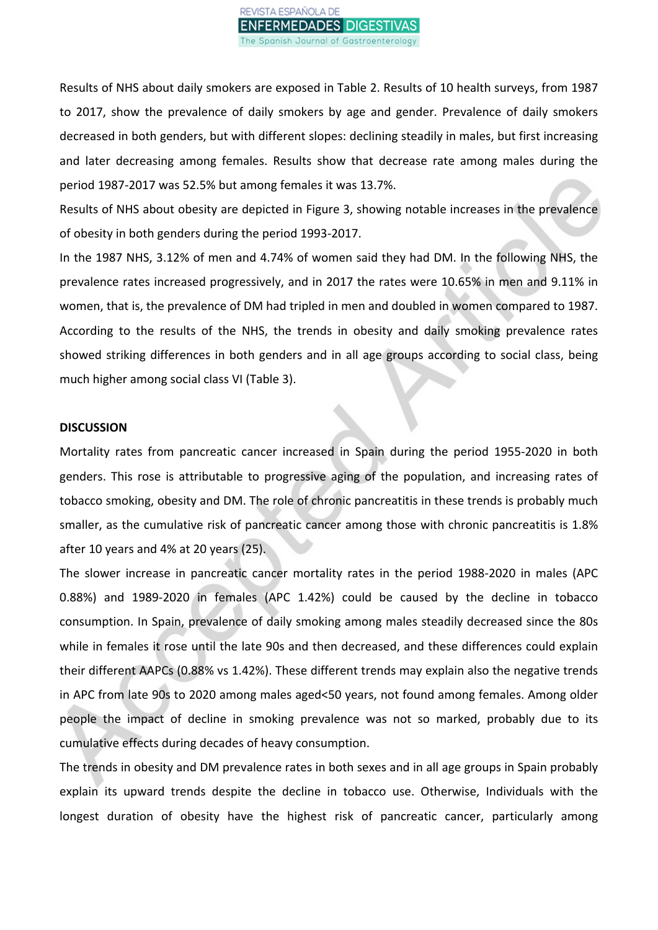

Results of NHS about daily smokers are exposed in Table 2. Results of 10 health surveys, from 1987 to 2017, show the prevalence of daily smokers by age and gender. Prevalence of daily smokers decreased in both genders, but with different slopes: declining steadily in males, but first increasing and later decreasing among females. Results show that decrease rate among males during the period 1987-2017 was 52.5% but among females it was 13.7%.

Results of NHS about obesity are depicted in Figure 3, showing notable increases in the prevalence of obesity in both genders during the period 1993-2017.

In the 1987 NHS, 3.12% of men and 4.74% of women said they had DM. In the following NHS, the prevalence rates increased progressively, and in 2017 the rates were 10.65% in men and 9.11% in women, that is, the prevalence of DM had tripled in men and doubled in women compared to 1987. According to the results of the NHS, the trends in obesity and daily smoking prevalence rates showed striking differences in both genders and in all age groups according to social class, being much higher among social class VI (Table 3).

#### **DISCUSSION**

Mortality rates from pancreatic cancer increased in Spain during the period 1955-2020 in both genders. This rose is attributable to progressive aging of the population, and increasing rates of tobacco smoking, obesity and DM. The role of chronic pancreatitis in these trends is probably much smaller, as the cumulative risk of pancreatic cancer among those with chronic pancreatitis is 1.8% after 10 years and 4% at 20 years (25).

The slower increase in pancreatic cancer mortality rates in the period 1988-2020 in males (APC 0.88%) and 1989-2020 in females (APC 1.42%) could be caused by the decline in tobacco consumption. In Spain, prevalence of daily smoking among males steadily decreased since the 80s while in females it rose until the late 90s and then decreased, and these differences could explain their different AAPCs (0.88% vs 1.42%). These different trends may explain also the negative trends in APC from late 90s to 2020 among males aged<50 years, not found among females. Among older people the impact of decline in smoking prevalence was not so marked, probably due to its cumulative effects during decades of heavy consumption.

The trends in obesity and DM prevalence rates in both sexes and in all age groups in Spain probably explain its upward trends despite the decline in tobacco use. Otherwise, Individuals with the longest duration of obesity have the highest risk of pancreatic cancer, particularly among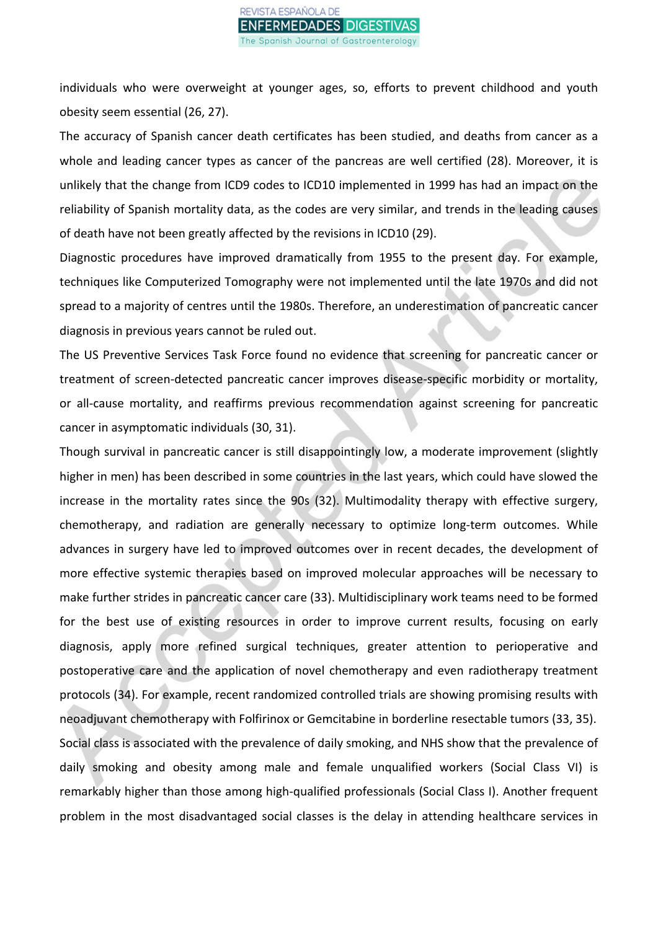individuals who were overweight at younger ages, so, efforts to prevent childhood and youth obesity seem essential (26, 27).

The accuracy of Spanish cancer death certificates has been studied, and deaths from cancer as a whole and leading cancer types as cancer of the pancreas are well certified (28). Moreover, it is unlikely that the change from ICD9 codes to ICD10 implemented in 1999 has had an impact on the reliability of Spanish mortality data, as the codes are very similar, and trends in the leading causes of death have not been greatly affected by the revisions in ICD10 (29).

Diagnostic procedures have improved dramatically from 1955 to the present day. For example, techniques like Computerized Tomography were not implemented until the late 1970s and did not spread to a majority of centres until the 1980s. Therefore, an underestimation of pancreatic cancer diagnosis in previous years cannot be ruled out.

The US Preventive Services Task Force found no evidence that screening for pancreatic cancer or treatment of screen-detected pancreatic cancer improves disease-specific morbidity or mortality, or all-cause mortality, and reaffirms previous recommendation against screening for pancreatic cancer in asymptomatic individuals (30, 31).

Though survival in pancreatic cancer is still disappointingly low, a moderate improvement (slightly higher in men) has been described in some countries in the last years, which could have slowed the increase in the mortality rates since the 90s (32). Multimodality therapy with effective surgery, chemotherapy, and radiation are generally necessary to optimize long-term outcomes. While advances in surgery have led to improved outcomes over in recent decades, the development of more effective systemic therapies based on improved molecular approaches will be necessary to make further strides in pancreatic cancer care (33). Multidisciplinary work teams need to be formed for the best use of existing resources in order to improve current results, focusing on early diagnosis, apply more refined surgical techniques, greater attention to perioperative and postoperative care and the application of novel chemotherapy and even radiotherapy treatment protocols (34). For example, recent randomized controlled trials are showing promising results with neoadjuvant chemotherapy with Folfirinox or Gemcitabine in borderline resectable tumors (33, 35). Social class is associated with the prevalence of daily smoking, and NHS show that the prevalence of daily smoking and obesity among male and female unqualified workers (Social Class VI) is remarkably higher than those among high-qualified professionals (Social Class I). Another frequent problem in the most disadvantaged social classes is the delay in attending healthcare services in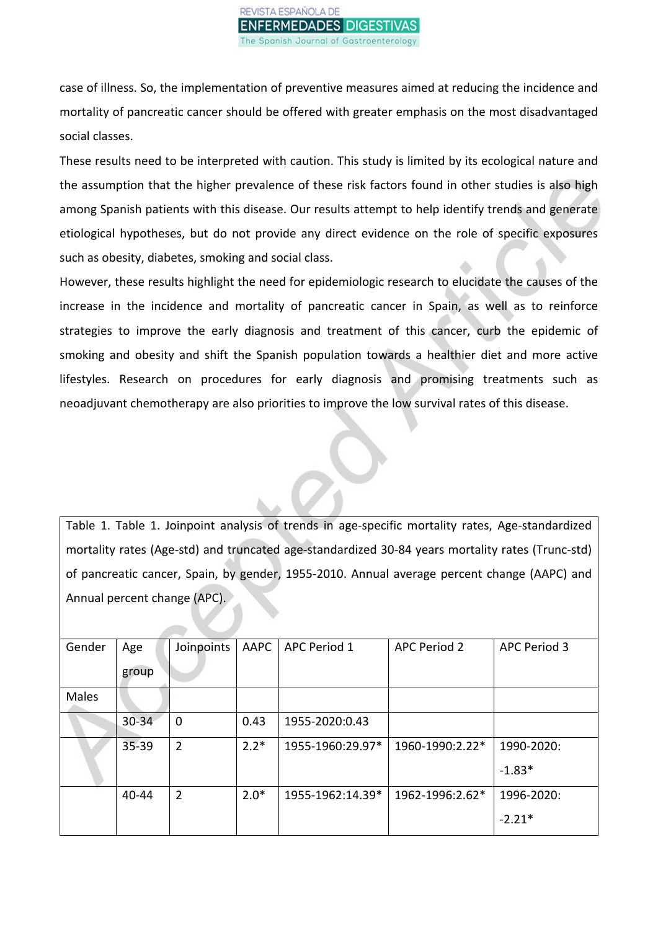case of illness. So, the implementation of preventive measures aimed at reducing the incidence and mortality of pancreatic cancer should be offered with greater emphasis on the most disadvantaged social classes.

These results need to be interpreted with caution. This study is limited by its ecological nature and the assumption that the higher prevalence of these risk factors found in other studies is also high among Spanish patients with this disease. Our results attempt to help identify trends and generate etiological hypotheses, but do not provide any direct evidence on the role of specific exposures such as obesity, diabetes, smoking and social class.

However, these results highlight the need for epidemiologic research to elucidate the causes of the increase in the incidence and mortality of pancreatic cancer in Spain, as well as to reinforce strategies to improve the early diagnosis and treatment of this cancer, curb the epidemic of smoking and obesity and shift the Spanish population towards a healthier diet and more active lifestyles. Research on procedures for early diagnosis and promising treatments such as neoadjuvant chemotherapy are also priorities to improve the low survival rates of this disease.

Table 1. Table 1. Joinpoint analysis of trends in age-specific mortality rates, Age-standardized mortality rates (Age-std) and truncated age-standardized 30-84 years mortality rates (Trunc-std) of pancreatic cancer, Spain, by gender, 1955-2010. Annual average percent change (AAPC) and Annual percent change (APC).

| Gender | Age       | Joinpoints     | AAPC   | <b>APC Period 1</b> | <b>APC Period 2</b> | APC Period 3 |
|--------|-----------|----------------|--------|---------------------|---------------------|--------------|
|        | group     |                |        |                     |                     |              |
| Males  |           |                |        |                     |                     |              |
|        | 30-34     | $\mathbf 0$    | 0.43   | 1955-2020:0.43      |                     |              |
|        | $35 - 39$ | $\overline{2}$ | $2.2*$ | 1955-1960:29.97*    | 1960-1990:2.22*     | 1990-2020:   |
|        |           |                |        |                     |                     | $-1.83*$     |
|        | 40-44     | $\overline{2}$ | $2.0*$ | 1955-1962:14.39*    | 1962-1996:2.62*     | 1996-2020:   |
|        |           |                |        |                     |                     | $-2.21*$     |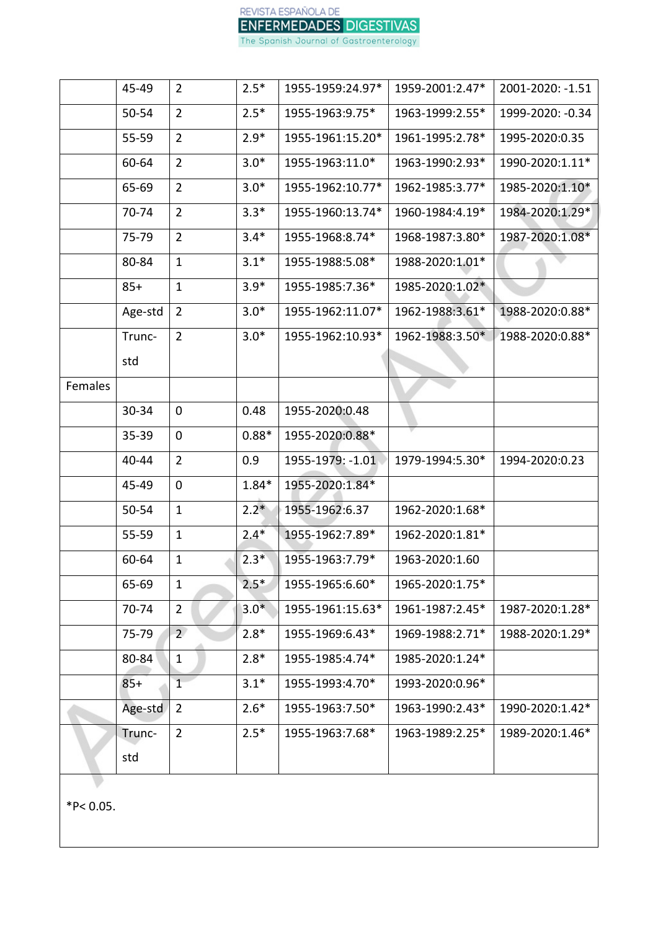|         | 45-49     | $\overline{2}$ | $2.5*$  | 1955-1959:24.97* | 1959-2001:2.47* | 2001-2020: -1.51 |
|---------|-----------|----------------|---------|------------------|-----------------|------------------|
|         | 50-54     | $\overline{2}$ | $2.5*$  | 1955-1963:9.75*  | 1963-1999:2.55* | 1999-2020: -0.34 |
|         | 55-59     | $\overline{2}$ | $2.9*$  | 1955-1961:15.20* | 1961-1995:2.78* | 1995-2020:0.35   |
|         | 60-64     | $\overline{2}$ | $3.0*$  | 1955-1963:11.0*  | 1963-1990:2.93* | 1990-2020:1.11*  |
|         | 65-69     | $\overline{2}$ | $3.0*$  | 1955-1962:10.77* | 1962-1985:3.77* | 1985-2020:1.10*  |
|         | 70-74     | $\overline{2}$ | $3.3*$  | 1955-1960:13.74* | 1960-1984:4.19* | 1984-2020:1.29*  |
|         | 75-79     | $\overline{2}$ | $3.4*$  | 1955-1968:8.74*  | 1968-1987:3.80* | 1987-2020:1.08*  |
|         | 80-84     | $\mathbf{1}$   | $3.1*$  | 1955-1988:5.08*  | 1988-2020:1.01* |                  |
|         | $85+$     | $\mathbf{1}$   | $3.9*$  | 1955-1985:7.36*  | 1985-2020:1.02* |                  |
|         | Age-std   | $\overline{2}$ | $3.0*$  | 1955-1962:11.07* | 1962-1988:3.61* | 1988-2020:0.88*  |
|         | Trunc-    | $\overline{2}$ | $3.0*$  | 1955-1962:10.93* | 1962-1988:3.50* | 1988-2020:0.88*  |
|         | std       |                |         |                  |                 |                  |
| Females |           |                |         |                  |                 |                  |
|         | 30-34     | $\mathbf 0$    | 0.48    | 1955-2020:0.48   |                 |                  |
|         | $35 - 39$ | 0              | $0.88*$ | 1955-2020:0.88*  |                 |                  |
|         | 40-44     | $\overline{2}$ | 0.9     | 1955-1979: -1.01 | 1979-1994:5.30* | 1994-2020:0.23   |
|         | 45-49     | 0              | $1.84*$ | 1955-2020:1.84*  |                 |                  |
|         | 50-54     | $\mathbf{1}$   | $2.2*$  | 1955-1962:6.37   | 1962-2020:1.68* |                  |
|         | $55 - 59$ | $\mathbf{1}$   | $2.4*$  | 1955-1962:7.89*  | 1962-2020:1.81* |                  |
|         | 60-64     | $\mathbf{1}$   | $2.3*$  | 1955-1963:7.79*  | 1963-2020:1.60  |                  |
|         | 65-69     | $\mathbf{1}$   | $2.5*$  | 1955-1965:6.60*  | 1965-2020:1.75* |                  |
|         | 70-74     | $\overline{2}$ | $3.0*$  | 1955-1961:15.63* | 1961-1987:2.45* | 1987-2020:1.28*  |
|         | 75-79     | $\overline{2}$ | $2.8*$  | 1955-1969:6.43*  | 1969-1988:2.71* | 1988-2020:1.29*  |
|         | 80-84     | $\mathbf{1}$   | $2.8*$  | 1955-1985:4.74*  | 1985-2020:1.24* |                  |
|         | $85+$     | $\mathbf{1}$   | $3.1*$  | 1955-1993:4.70*  | 1993-2020:0.96* |                  |
|         | Age-std   | $\overline{2}$ | $2.6*$  | 1955-1963:7.50*  | 1963-1990:2.43* | 1990-2020:1.42*  |
|         | Trunc-    | $\overline{2}$ | $2.5*$  | 1955-1963:7.68*  | 1963-1989:2.25* | 1989-2020:1.46*  |
|         | std       |                |         |                  |                 |                  |
|         |           |                |         |                  |                 |                  |

 $*P< 0.05$ .

REVISTA ESPAÑOLA DE ENFERMEDADES DIGESTIVAS

The Spanish Journal of Gastroenterology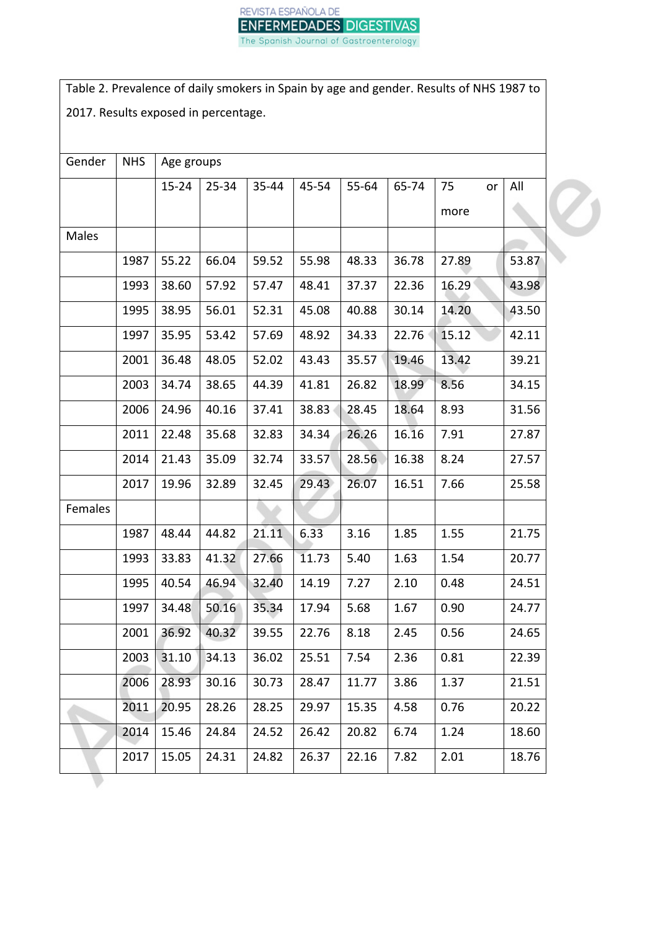

Table 2. Prevalence of daily smokers in Spain by age and gender. Results of NHS 1987 to 2017. Results exposed in percentage.

| Gender  | <b>NHS</b> | Age groups |           |       |       |       |       |          |       |
|---------|------------|------------|-----------|-------|-------|-------|-------|----------|-------|
|         |            | $15 - 24$  | $25 - 34$ | 35-44 | 45-54 | 55-64 | 65-74 | 75<br>or | All   |
|         |            |            |           |       |       |       |       | more     |       |
| Males   |            |            |           |       |       |       |       |          |       |
|         | 1987       | 55.22      | 66.04     | 59.52 | 55.98 | 48.33 | 36.78 | 27.89    | 53.87 |
|         | 1993       | 38.60      | 57.92     | 57.47 | 48.41 | 37.37 | 22.36 | 16.29    | 43.98 |
|         | 1995       | 38.95      | 56.01     | 52.31 | 45.08 | 40.88 | 30.14 | 14.20    | 43.50 |
|         | 1997       | 35.95      | 53.42     | 57.69 | 48.92 | 34.33 | 22.76 | 15.12    | 42.11 |
|         | 2001       | 36.48      | 48.05     | 52.02 | 43.43 | 35.57 | 19.46 | 13.42    | 39.21 |
|         | 2003       | 34.74      | 38.65     | 44.39 | 41.81 | 26.82 | 18.99 | 8.56     | 34.15 |
|         | 2006       | 24.96      | 40.16     | 37.41 | 38.83 | 28.45 | 18.64 | 8.93     | 31.56 |
|         | 2011       | 22.48      | 35.68     | 32.83 | 34.34 | 26.26 | 16.16 | 7.91     | 27.87 |
|         | 2014       | 21.43      | 35.09     | 32.74 | 33.57 | 28.56 | 16.38 | 8.24     | 27.57 |
|         | 2017       | 19.96      | 32.89     | 32.45 | 29.43 | 26.07 | 16.51 | 7.66     | 25.58 |
| Females |            |            |           |       |       |       |       |          |       |
|         | 1987       | 48.44      | 44.82     | 21.11 | 6.33  | 3.16  | 1.85  | 1.55     | 21.75 |
|         | 1993       | 33.83      | 41.32     | 27.66 | 11.73 | 5.40  | 1.63  | 1.54     | 20.77 |
|         | 1995       | 40.54      | 46.94     | 32.40 | 14.19 | 7.27  | 2.10  | 0.48     | 24.51 |
|         | 1997       | 34.48      | 50.16     | 35.34 | 17.94 | 5.68  | 1.67  | 0.90     | 24.77 |
|         | 2001       | 36.92      | 40.32     | 39.55 | 22.76 | 8.18  | 2.45  | 0.56     | 24.65 |
|         | 2003       | 31.10      | 34.13     | 36.02 | 25.51 | 7.54  | 2.36  | 0.81     | 22.39 |
|         | 2006       | 28.93      | 30.16     | 30.73 | 28.47 | 11.77 | 3.86  | 1.37     | 21.51 |
|         | 2011       | 20.95      | 28.26     | 28.25 | 29.97 | 15.35 | 4.58  | 0.76     | 20.22 |
|         | 2014       | 15.46      | 24.84     | 24.52 | 26.42 | 20.82 | 6.74  | 1.24     | 18.60 |
|         | 2017       | 15.05      | 24.31     | 24.82 | 26.37 | 22.16 | 7.82  | 2.01     | 18.76 |
|         |            |            |           |       |       |       |       |          |       |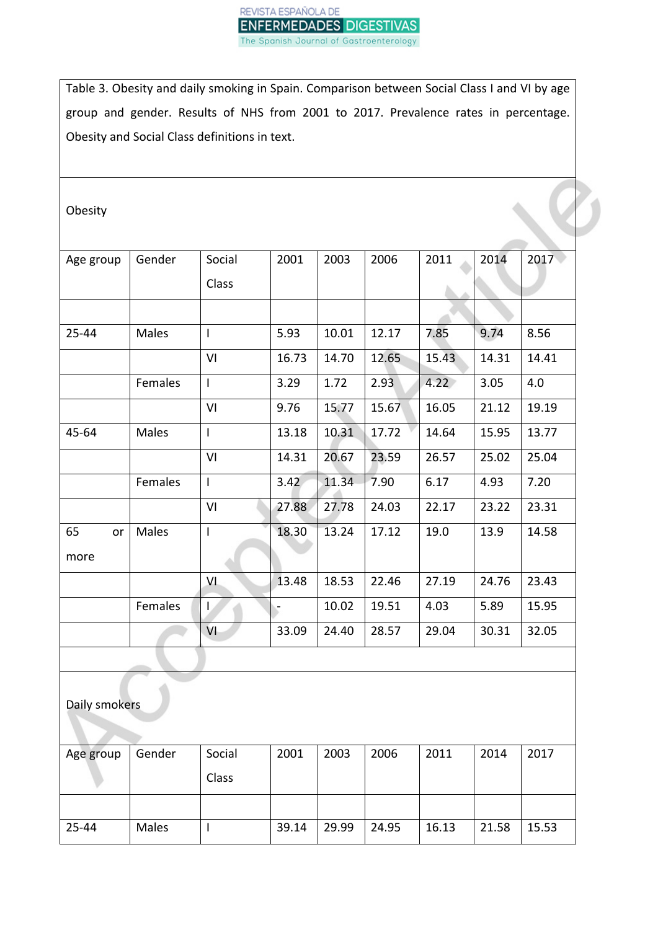

Table 3. Obesity and daily smoking in Spain. Comparison between Social Class I and VI by age group and gender. Results of NHS from 2001 to 2017. Prevalence rates in percentage. Obesity and Social Class definitions in text.

Obesity

| Age group     | Gender  | Social                   | 2001  | 2003  | 2006  | 2011  | 2014  | 2017  |
|---------------|---------|--------------------------|-------|-------|-------|-------|-------|-------|
|               |         | Class                    |       |       |       |       |       |       |
|               |         |                          |       |       |       |       |       |       |
|               |         |                          |       |       |       |       |       |       |
| 25-44         | Males   | $\mathsf{I}$             | 5.93  | 10.01 | 12.17 | 7.85  | 9.74  | 8.56  |
|               |         | VI                       | 16.73 | 14.70 | 12.65 | 15.43 | 14.31 | 14.41 |
|               | Females | $\mathsf{I}$             | 3.29  | 1.72  | 2.93  | 4.22  | 3.05  | 4.0   |
|               |         | VI                       | 9.76  | 15.77 | 15.67 | 16.05 | 21.12 | 19.19 |
| 45-64         | Males   | $\overline{1}$           | 13.18 | 10.31 | 17.72 | 14.64 | 15.95 | 13.77 |
|               |         | VI                       | 14.31 | 20.67 | 23.59 | 26.57 | 25.02 | 25.04 |
|               | Females | $\mathbf{I}$             | 3.42  | 11.34 | 7.90  | 6.17  | 4.93  | 7.20  |
|               |         | VI                       | 27.88 | 27.78 | 24.03 | 22.17 | 23.22 | 23.31 |
| 65<br>or      | Males   | $\overline{\phantom{a}}$ | 18.30 | 13.24 | 17.12 | 19.0  | 13.9  | 14.58 |
| more          |         |                          |       |       |       |       |       |       |
|               |         | VI                       | 13.48 | 18.53 | 22.46 | 27.19 | 24.76 | 23.43 |
|               | Females | Ŀ                        |       | 10.02 | 19.51 | 4.03  | 5.89  | 15.95 |
|               |         | VI                       | 33.09 | 24.40 | 28.57 | 29.04 | 30.31 | 32.05 |
|               |         |                          |       |       |       |       |       |       |
|               |         |                          |       |       |       |       |       |       |
| Daily smokars |         |                          |       |       |       |       |       |       |

ally smokers

| Age group | Gender | Social | 2001  | 2003  | 2006  | 2011  | 2014  | 2017  |
|-----------|--------|--------|-------|-------|-------|-------|-------|-------|
|           |        | Class  |       |       |       |       |       |       |
|           |        |        |       |       |       |       |       |       |
| 25-44     | Males  |        | 39.14 | 29.99 | 24.95 | 16.13 | 21.58 | 15.53 |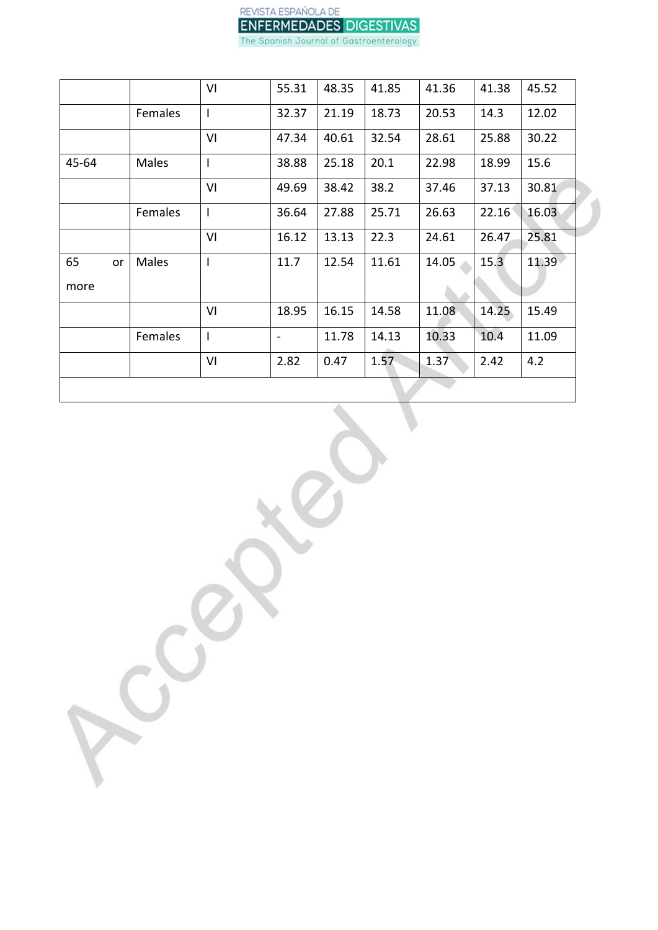

| VI                      | 55.31                        | 48.35 | 41.85 | 41.36 | 41.38 | 45.52 |
|-------------------------|------------------------------|-------|-------|-------|-------|-------|
| Females<br>$\mathbf{I}$ | 32.37                        | 21.19 | 18.73 | 20.53 | 14.3  | 12.02 |
| VI                      | 47.34                        | 40.61 | 32.54 | 28.61 | 25.88 | 30.22 |
| Males<br>$\mathbf{I}$   | 38.88                        | 25.18 | 20.1  | 22.98 | 18.99 | 15.6  |
| VI                      | 49.69                        | 38.42 | 38.2  | 37.46 | 37.13 | 30.81 |
| Females<br>$\mathbf{I}$ | 36.64                        | 27.88 | 25.71 | 26.63 | 22.16 | 16.03 |
| VI                      | 16.12                        | 13.13 | 22.3  | 24.61 | 26.47 | 25.81 |
| Males<br>I.             | 11.7                         | 12.54 | 11.61 | 14.05 | 15.3  | 11.39 |
|                         |                              |       |       |       |       |       |
| VI                      | 18.95                        | 16.15 | 14.58 | 11.08 | 14.25 | 15.49 |
| Females<br>$\mathbf{I}$ | $\qquad \qquad \blacksquare$ | 11.78 | 14.13 | 10.33 | 10.4  | 11.09 |
|                         | 2.82                         | 0.47  | 1.57  | 1.37  | 2.42  | 4.2   |
|                         | VI                           |       |       |       |       |       |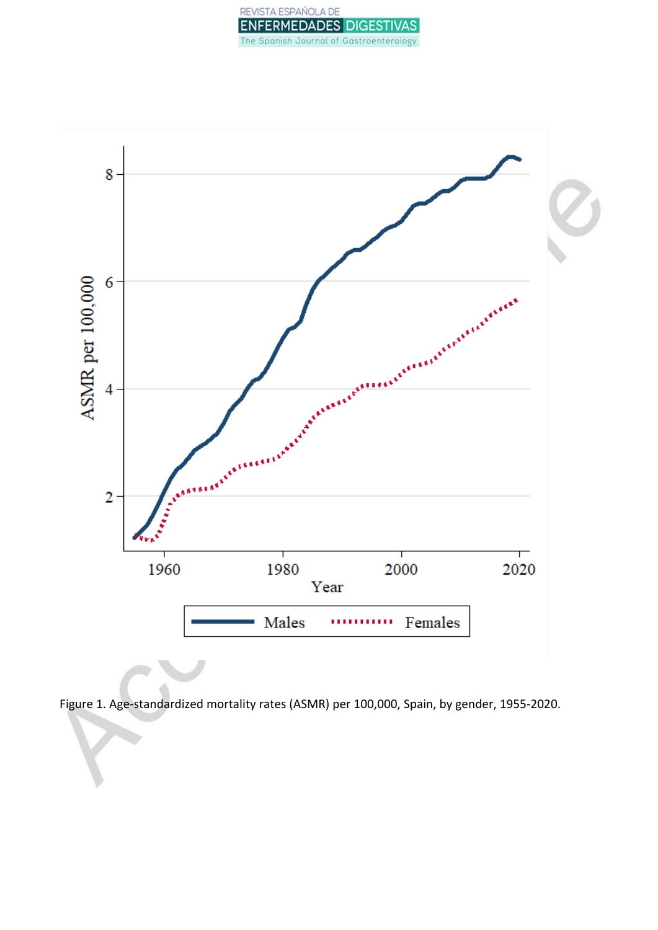



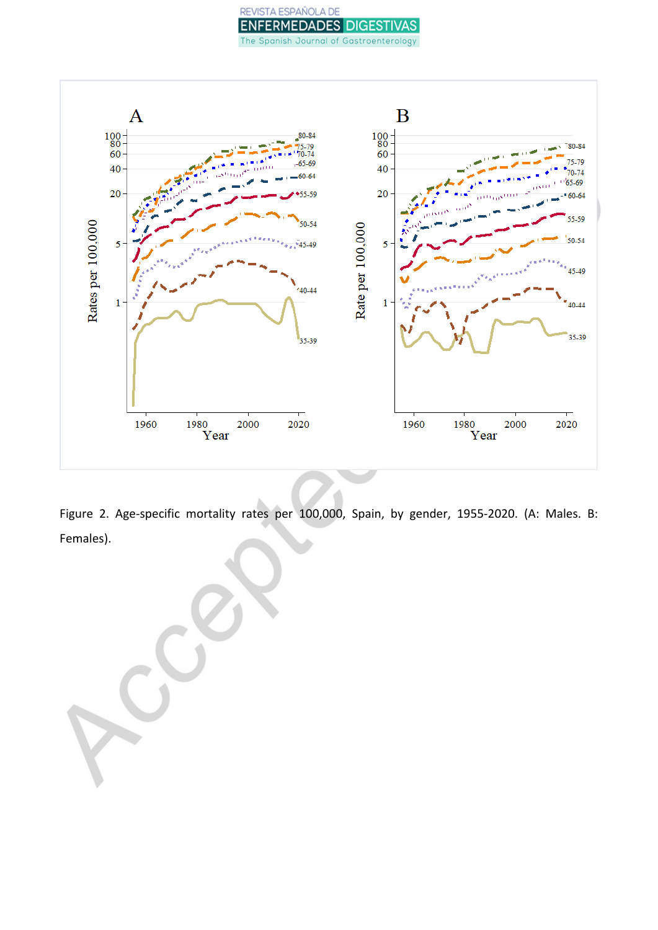## REVISTA ESPAÑOLA DE **ENFERMEDADES DIGESTIVAS** The Spanish Journal of Gastroenterology



Figure 2. Age-specific mortality rates per 100,000, Spain, by gender, 1955-2020. (A: Males. B: Females).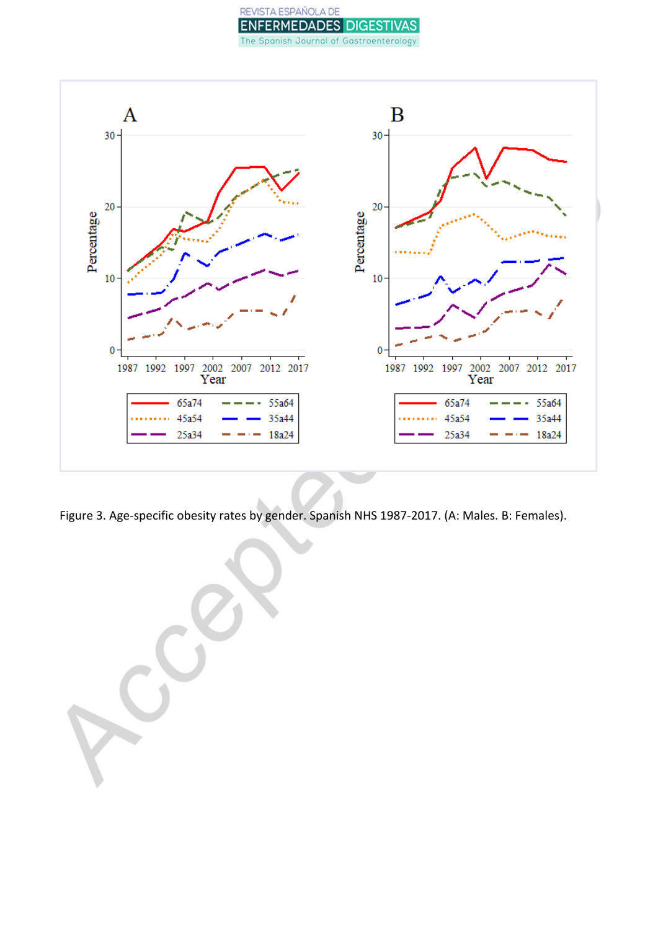## REVISTA ESPAÑOLA DE **ENFERMEDADES DIGESTIVAS** The Spanish Journal of Gastroenterology



Figure 3. Age-specific obesity rates by gender. Spanish NHS 1987-2017. (A: Males. B: Females).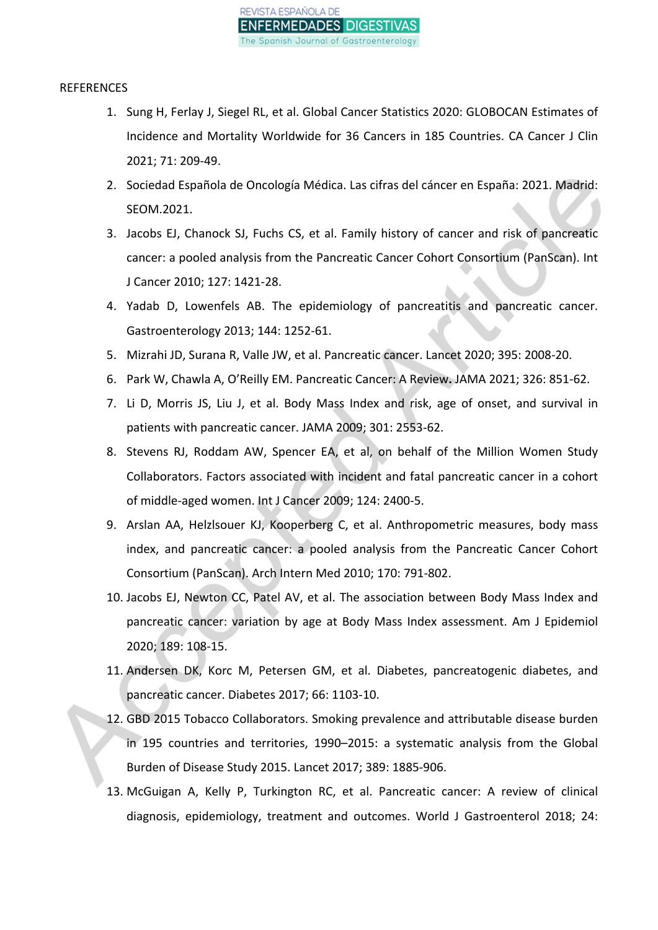

#### REFERENCES

- 1. Sung H, Ferlay J, Siegel RL, et al. Global Cancer Statistics 2020: GLOBOCAN Estimates of Incidence and Mortality Worldwide for 36 Cancers in 185 Countries. CA Cancer J Clin 2021; 71: 209-49.
- 2. Sociedad Española de Oncología Médica. Las cifras del cáncer en España: 2021. Madrid: SEOM.2021.
- 3. Jacobs EJ, Chanock SJ, Fuchs CS, et al. Family history of cancer and risk of pancreatic cancer: a pooled analysis from the Pancreatic Cancer Cohort Consortium (PanScan). Int J Cancer 2010; 127: 1421-28.
- 4. Yadab D, Lowenfels AB. The epidemiology of pancreatitis and pancreatic cancer. Gastroenterology 2013; 144: 1252-61.
- 5. Mizrahi JD, Surana R, Valle JW, et al. Pancreatic cancer. Lancet 2020; 395: 2008-20.
- 6. Park W, Chawla A, O'Reilly EM. Pancreatic Cancer: A Review**.** JAMA 2021; 326: 851-62.
- 7. Li D, Morris JS, Liu J, et al. Body Mass Index and risk, age of onset, and survival in patients with pancreatic cancer. JAMA 2009; 301: 2553-62.
- 8. Stevens RJ, Roddam AW, Spencer EA, et al, on behalf of the Million Women Study Collaborators. Factors associated with incident and fatal pancreatic cancer in a cohort of middle-aged women. Int J Cancer 2009; 124: 2400-5.
- 9. Arslan AA, Helzlsouer KJ, Kooperberg C, et al. Anthropometric measures, body mass index, and pancreatic cancer: a pooled analysis from the Pancreatic Cancer Cohort Consortium (PanScan). Arch Intern Med 2010; 170: 791-802.
- 10. Jacobs EJ, Newton CC, Patel AV, et al. The association between Body Mass Index and pancreatic cancer: variation by age at Body Mass Index assessment. Am J Epidemiol 2020; 189: 108-15.
- 11. Andersen DK, Korc M, Petersen GM, et al. Diabetes, pancreatogenic diabetes, and pancreatic cancer. Diabetes 2017; 66: 1103-10.
- 12. GBD 2015 Tobacco Collaborators. Smoking prevalence and attributable disease burden in 195 countries and territories, 1990–2015: a systematic analysis from the Global Burden of Disease Study 2015. Lancet 2017; 389: 1885-906.
- 13. McGuigan A, Kelly P, Turkington RC, et al. Pancreatic cancer: A review of clinical diagnosis, epidemiology, treatment and outcomes. World J Gastroenterol 2018; 24: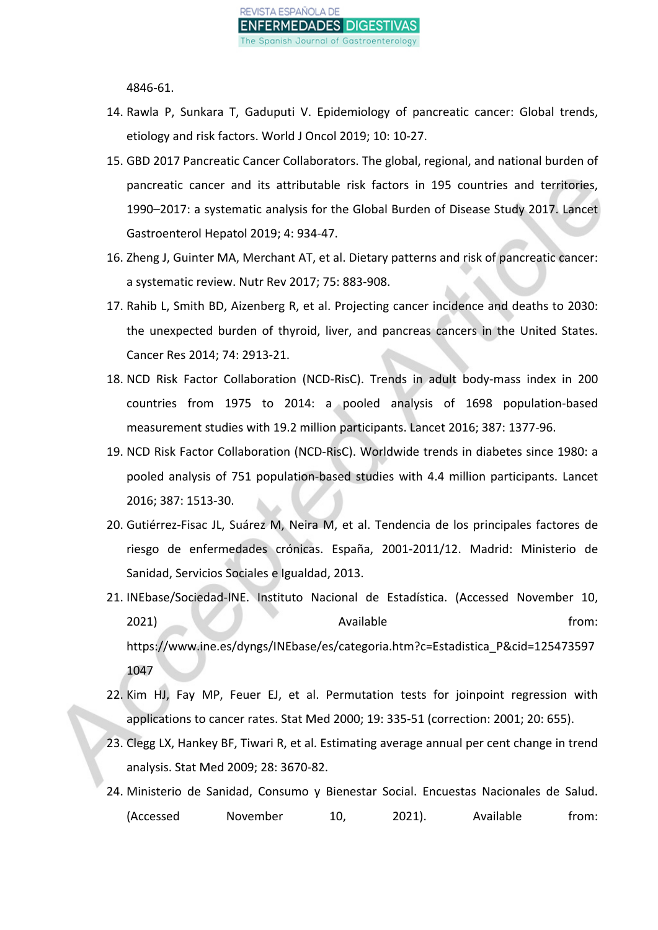

4846-61.

- 14. Rawla P, Sunkara T, Gaduputi V. Epidemiology of pancreatic cancer: Global trends, etiology and risk factors. World J Oncol 2019; 10: 10-27.
- 15. GBD 2017 Pancreatic Cancer Collaborators. The global, regional, and national burden of pancreatic cancer and its attributable risk factors in 195 countries and territories, 1990–2017: a systematic analysis for the Global Burden of Disease Study 2017. Lancet Gastroenterol Hepatol 2019; 4: 934-47.
- 16. Zheng J, Guinter MA, Merchant AT, et al. Dietary patterns and risk of pancreatic cancer: a systematic review. Nutr Rev 2017; 75: 883-908.
- 17. Rahib L, Smith BD, Aizenberg R, et al. Projecting cancer incidence and deaths to 2030: the unexpected burden of thyroid, liver, and pancreas cancers in the United States. Cancer Res 2014; 74: 2913-21.
- 18. NCD Risk Factor Collaboration (NCD-RisC). Trends in adult body-mass index in 200 countries from 1975 to 2014: a pooled analysis of 1698 population-based measurement studies with 19.2 million participants. Lancet 2016; 387: 1377-96.
- 19. NCD Risk Factor Collaboration (NCD-RisC). Worldwide trends in diabetes since 1980: a pooled analysis of 751 population-based studies with 4.4 million participants. Lancet 2016; 387: 1513-30.
- 20. Gutiérrez-Fisac JL, Suárez M, Neira M, et al. Tendencia de los principales factores de riesgo de enfermedades crónicas. España, 2001-2011/12. Madrid: Ministerio de Sanidad, Servicios Sociales e Igualdad, 2013.
- 21. INEbase/Sociedad-INE. Instituto Nacional de Estadística. (Accessed November 10, 2021) Available from: https://www.ine.es/dyngs/INEbase/es/categoria.htm?c=Estadistica\_P&cid=125473597 1047
- 22. Kim HJ, Fay MP, Feuer EJ, et al. Permutation tests for joinpoint regression with applications to cancer rates. Stat Med 2000; 19: 335-51 (correction: 2001; 20: 655).
- 23. Clegg LX, Hankey BF, Tiwari R, et al. Estimating average annual per cent change in trend analysis. Stat Med 2009; 28: 3670-82.
- 24. Ministerio de Sanidad, Consumo y Bienestar Social. Encuestas Nacionales de Salud. (Accessed November 10, 2021). Available from: